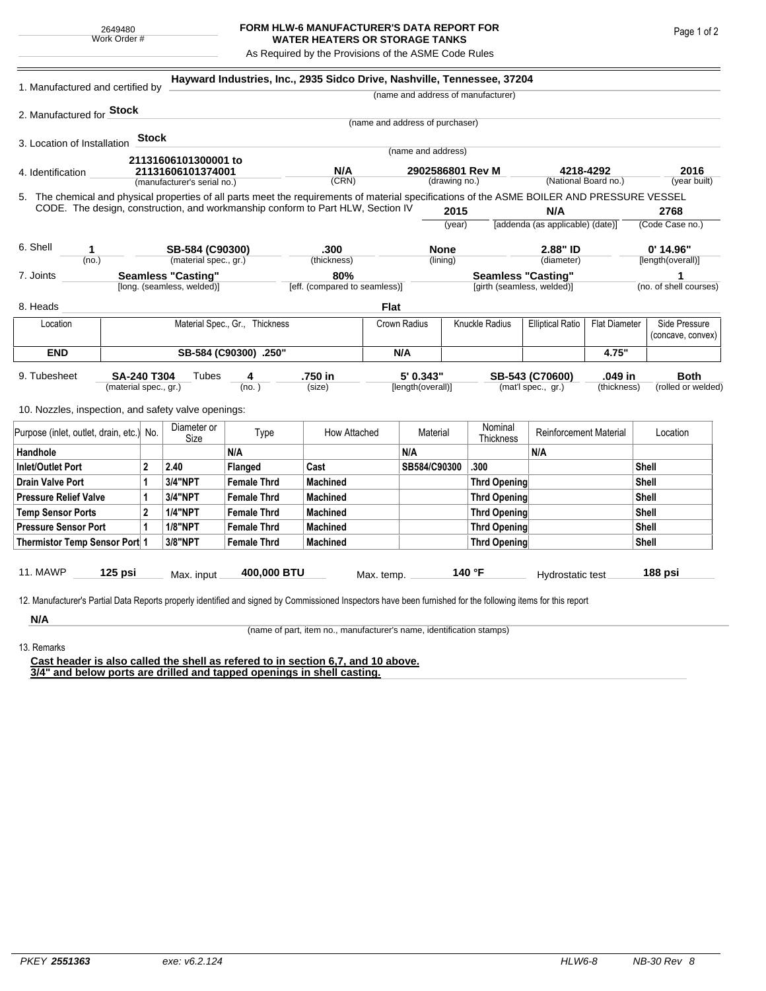## **FORM HLW-6 MANUFACTURER'S DATA REPORT FOR WATER HEATERS OR STORAGE TANKS**

As Required by the Provisions of the ASME Code Rules

| 1. Manufactured and certified by                                                                                                                              |  |                |                             |                                | Hayward Industries, Inc., 2935 Sidco Drive, Nashville, Tennessee, 37204 |                                   |                    |      |                                    |                                                         |                                   |                             |                                    |  |
|---------------------------------------------------------------------------------------------------------------------------------------------------------------|--|----------------|-----------------------------|--------------------------------|-------------------------------------------------------------------------|-----------------------------------|--------------------|------|------------------------------------|---------------------------------------------------------|-----------------------------------|-----------------------------|------------------------------------|--|
|                                                                                                                                                               |  |                |                             |                                |                                                                         |                                   |                    |      | (name and address of manufacturer) |                                                         |                                   |                             |                                    |  |
| 2. Manufactured for <b>Stock</b>                                                                                                                              |  |                |                             |                                |                                                                         |                                   |                    |      |                                    |                                                         |                                   |                             |                                    |  |
|                                                                                                                                                               |  |                |                             |                                |                                                                         | (name and address of purchaser)   |                    |      |                                    |                                                         |                                   |                             |                                    |  |
| 3. Location of Installation                                                                                                                                   |  | Stock          |                             |                                |                                                                         |                                   | (name and address) |      |                                    |                                                         |                                   |                             |                                    |  |
|                                                                                                                                                               |  |                | 21131606101300001 to        |                                |                                                                         |                                   |                    |      |                                    |                                                         |                                   |                             |                                    |  |
| 4. Identification                                                                                                                                             |  |                | 21131606101374001           |                                | N/A<br>(CRN)                                                            | 2902586801 Rev M<br>(drawing no.) |                    |      |                                    |                                                         | 4218-4292<br>(National Board no.) |                             | 2016<br>(year built)               |  |
| 5. The chemical and physical properties of all parts meet the requirements of material specifications of the ASME BOILER AND PRESSURE VESSEL                  |  |                | (manufacturer's serial no.) |                                |                                                                         |                                   |                    |      |                                    |                                                         |                                   |                             |                                    |  |
| CODE. The design, construction, and workmanship conform to Part HLW, Section IV                                                                               |  |                |                             |                                |                                                                         |                                   |                    | 2015 |                                    | N/A                                                     |                                   | 2768                        |                                    |  |
|                                                                                                                                                               |  |                |                             |                                |                                                                         |                                   |                    |      | (year)                             | [addenda (as applicable) (date)]                        |                                   | (Code Case no.)             |                                    |  |
|                                                                                                                                                               |  |                |                             |                                |                                                                         |                                   |                    |      |                                    |                                                         |                                   |                             |                                    |  |
| 6. Shell<br>1<br>(no.)                                                                                                                                        |  |                | SB-584 (C90300)             |                                | .300<br>(thickness)                                                     | <b>None</b><br>(lining)           |                    |      | 2.88" ID<br>(diameter)             |                                                         | $0'$ 14.96"<br>[length(overall)]  |                             |                                    |  |
|                                                                                                                                                               |  |                | (material spec., gr.)       |                                | 80%                                                                     |                                   |                    |      |                                    |                                                         |                                   |                             |                                    |  |
| <b>Seamless "Casting"</b><br>7. Joints<br>[long. (seamless, welded)]                                                                                          |  |                |                             | [eff. (compared to seamless)]  |                                                                         |                                   |                    |      |                                    | <b>Seamless "Casting"</b><br>[girth (seamless, welded)] |                                   | 1<br>(no. of shell courses) |                                    |  |
| 8. Heads                                                                                                                                                      |  |                |                             |                                |                                                                         | Flat                              |                    |      |                                    |                                                         |                                   |                             |                                    |  |
| Location                                                                                                                                                      |  |                |                             | Material Spec., Gr., Thickness |                                                                         |                                   | Crown Radius       |      | Knuckle Radius                     | <b>Elliptical Ratio</b><br><b>Flat Diameter</b>         |                                   |                             | Side Pressure<br>(concave, convex) |  |
| <b>END</b>                                                                                                                                                    |  |                |                             | SB-584 (C90300) .250"          |                                                                         |                                   | N/A                |      |                                    |                                                         | 4.75"                             |                             |                                    |  |
| <b>SA-240 T304</b>                                                                                                                                            |  |                |                             |                                | .750 in                                                                 | 5' 0.343"<br>[length(overall)]    |                    |      | SB-543 (C70600)                    |                                                         |                                   |                             | <b>Both</b>                        |  |
| 9. Tubesheet<br>(material spec., gr.)                                                                                                                         |  |                | Tubes<br>4<br>(no.)         |                                | (size)                                                                  |                                   |                    |      |                                    | (mat'l spec., gr.)                                      | .049 in<br>(thickness)            |                             | (rolled or welded)                 |  |
|                                                                                                                                                               |  |                |                             |                                |                                                                         |                                   |                    |      |                                    |                                                         |                                   |                             |                                    |  |
| 10. Nozzles, inspection, and safety valve openings:                                                                                                           |  |                |                             |                                |                                                                         |                                   |                    |      |                                    |                                                         |                                   |                             |                                    |  |
| Purpose (inlet, outlet, drain, etc.) No.                                                                                                                      |  |                | Diameter or<br>Size         | Type                           | How Attached                                                            |                                   | Material           |      | Nominal<br>Thickness               | <b>Reinforcement Material</b>                           |                                   | Location                    |                                    |  |
| Handhole                                                                                                                                                      |  |                |                             | N/A                            |                                                                         |                                   | N/A                |      |                                    | N/A                                                     |                                   |                             |                                    |  |
| <b>Inlet/Outlet Port</b>                                                                                                                                      |  | $\overline{2}$ | 2.40                        | <b>Flanged</b>                 | Cast                                                                    |                                   | SB584/C90300       |      | .300                               |                                                         |                                   | Shell                       |                                    |  |
| <b>Drain Valve Port</b>                                                                                                                                       |  | 1              | 3/4"NPT                     | <b>Female Thrd</b>             | <b>Machined</b>                                                         |                                   |                    |      | <b>Thrd Opening</b>                |                                                         |                                   | <b>Shell</b>                |                                    |  |
| <b>Pressure Relief Valve</b>                                                                                                                                  |  | $\mathbf{1}$   | 3/4"NPT                     | <b>Female Thrd</b>             | <b>Machined</b>                                                         |                                   |                    |      | <b>Thrd Opening</b>                |                                                         |                                   | <b>Shell</b>                |                                    |  |
| $\mathbf{2}$<br><b>Temp Sensor Ports</b>                                                                                                                      |  |                | <b>1/4"NPT</b>              | <b>Female Thrd</b>             | <b>Machined</b>                                                         |                                   |                    |      | <b>Thrd Opening</b>                |                                                         |                                   | <b>Shell</b>                |                                    |  |
| <b>Pressure Sensor Port</b>                                                                                                                                   |  | $\mathbf{1}$   | <b>1/8"NPT</b>              | <b>Female Thrd</b>             | <b>Machined</b>                                                         |                                   |                    |      | <b>Thrd Opening</b>                |                                                         |                                   | <b>Shell</b>                |                                    |  |
| Thermistor Temp Sensor Port 1                                                                                                                                 |  |                | 3/8"NPT                     | <b>Female Thrd</b>             | <b>Machined</b>                                                         |                                   |                    |      | <b>Thrd Opening</b>                |                                                         |                                   | <b>Shell</b>                |                                    |  |
|                                                                                                                                                               |  |                |                             |                                |                                                                         |                                   |                    |      |                                    |                                                         |                                   |                             |                                    |  |
| <b>11. MAWP</b><br>$125$ psi                                                                                                                                  |  | Max. input     |                             | 400,000 BTU                    |                                                                         | Max. temp.                        |                    |      | 140 °F                             | Hydrostatic test                                        |                                   | 188 psi                     |                                    |  |
|                                                                                                                                                               |  |                |                             |                                |                                                                         |                                   |                    |      |                                    |                                                         |                                   |                             |                                    |  |
| 12. Manufacturer's Partial Data Reports properly identified and signed by Commissioned Inspectors have been furnished for the following items for this report |  |                |                             |                                |                                                                         |                                   |                    |      |                                    |                                                         |                                   |                             |                                    |  |
| N/A                                                                                                                                                           |  |                |                             |                                |                                                                         |                                   |                    |      |                                    |                                                         |                                   |                             |                                    |  |

(name of part, item no., manufacturer's name, identification stamps)

13. Remarks

**Cast header is also called the shell as refered to in section 6,7, and 10 above. 3/4" and below ports are drilled and tapped openings in shell casting.**